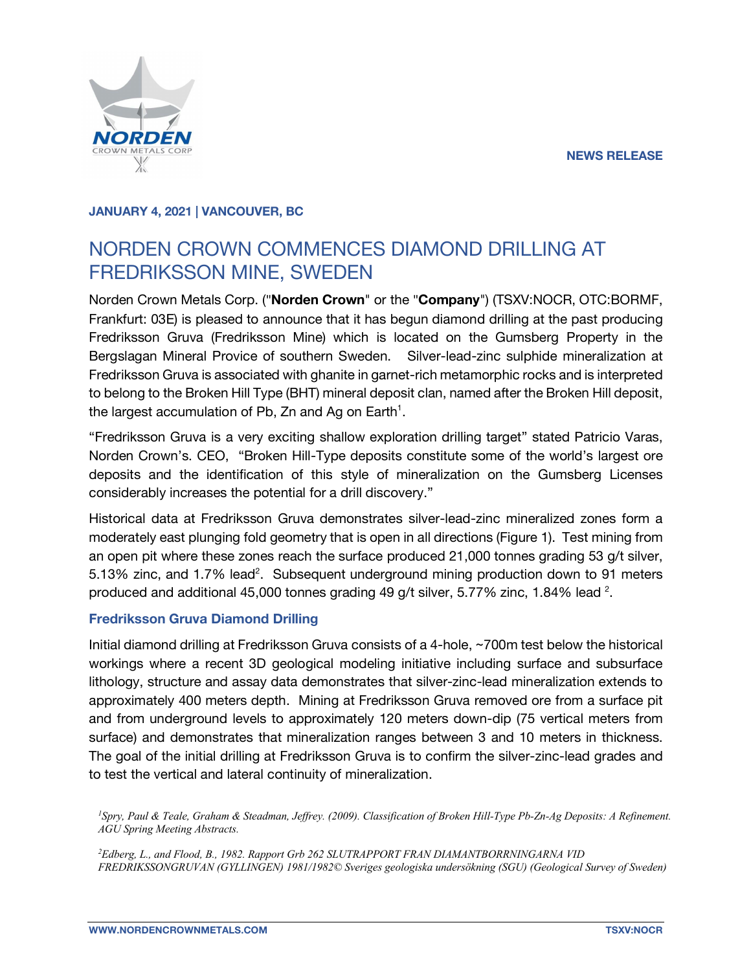

## **JANUARY 4, 2021 | VANCOUVER, BC**

# NORDEN CROWN COMMENCES DIAMOND DRILLING AT FREDRIKSSON MINE, SWEDEN

Norden Crown Metals Corp. ("**Norden Crown**" or the "**Company**") (TSXV:NOCR, OTC:BORMF, Frankfurt: 03E) is pleased to announce that it has begun diamond drilling at the past producing Fredriksson Gruva (Fredriksson Mine) which is located on the Gumsberg Property in the Bergslagan Mineral Provice of southern Sweden. Silver-lead-zinc sulphide mineralization at Fredriksson Gruva is associated with ghanite in garnet-rich metamorphic rocks and is interpreted to belong to the Broken Hill Type (BHT) mineral deposit clan, named after the Broken Hill deposit, the largest accumulation of Pb, Zn and Ag on Earth<sup>1</sup>.

"Fredriksson Gruva is a very exciting shallow exploration drilling target" stated Patricio Varas, Norden Crown's. CEO, "Broken Hill-Type deposits constitute some of the world's largest ore deposits and the identification of this style of mineralization on the Gumsberg Licenses considerably increases the potential for a drill discovery."

Historical data at Fredriksson Gruva demonstrates silver-lead-zinc mineralized zones form a moderately east plunging fold geometry that is open in all directions (Figure 1). Test mining from an open pit where these zones reach the surface produced 21,000 tonnes grading 53 g/t silver, 5.13% zinc, and 1.7% lead<sup>2</sup>. Subsequent underground mining production down to 91 meters produced and additional 45,000 tonnes grading 49 g/t silver, 5.77% zinc, 1.84% lead  $^{2}$ .

## **Fredriksson Gruva Diamond Drilling**

Initial diamond drilling at Fredriksson Gruva consists of a 4-hole, ~700m test below the historical workings where a recent 3D geological modeling initiative including surface and subsurface lithology, structure and assay data demonstrates that silver-zinc-lead mineralization extends to approximately 400 meters depth. Mining at Fredriksson Gruva removed ore from a surface pit and from underground levels to approximately 120 meters down-dip (75 vertical meters from surface) and demonstrates that mineralization ranges between 3 and 10 meters in thickness. The goal of the initial drilling at Fredriksson Gruva is to confirm the silver-zinc-lead grades and to test the vertical and lateral continuity of mineralization.

<sup>1</sup>Spry, Paul & Teale, Graham & Steadman, Jeffrey. (2009). Classification of Broken Hill-Type Pb-Zn-Ag Deposits: A Refinement. *AGU Spring Meeting Abstracts.*

*2 Edberg, L., and Flood, B., 1982. Rapport Grb 262 SLUTRAPPORT FRAN DIAMANTBORRNINGARNA VID FREDRIKSSONGRUVAN (GYLLINGEN) 1981/1982© Sveriges geologiska undersökning (SGU) (Geological Survey of Sweden)*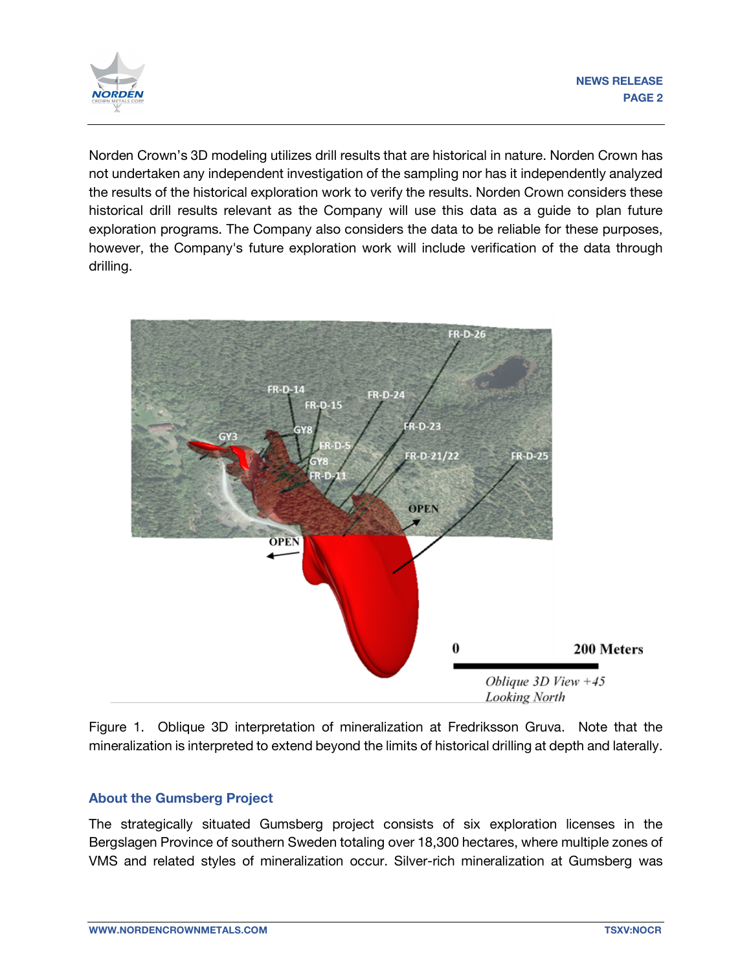

Norden Crown's 3D modeling utilizes drill results that are historical in nature. Norden Crown has not undertaken any independent investigation of the sampling nor has it independently analyzed the results of the historical exploration work to verify the results. Norden Crown considers these historical drill results relevant as the Company will use this data as a guide to plan future exploration programs. The Company also considers the data to be reliable for these purposes, however, the Company's future exploration work will include verification of the data through drilling.



Figure 1. Oblique 3D interpretation of mineralization at Fredriksson Gruva. Note that the mineralization is interpreted to extend beyond the limits of historical drilling at depth and laterally.

## **About the Gumsberg Project**

The strategically situated Gumsberg project consists of six exploration licenses in the Bergslagen Province of southern Sweden totaling over 18,300 hectares, where multiple zones of VMS and related styles of mineralization occur. Silver-rich mineralization at Gumsberg was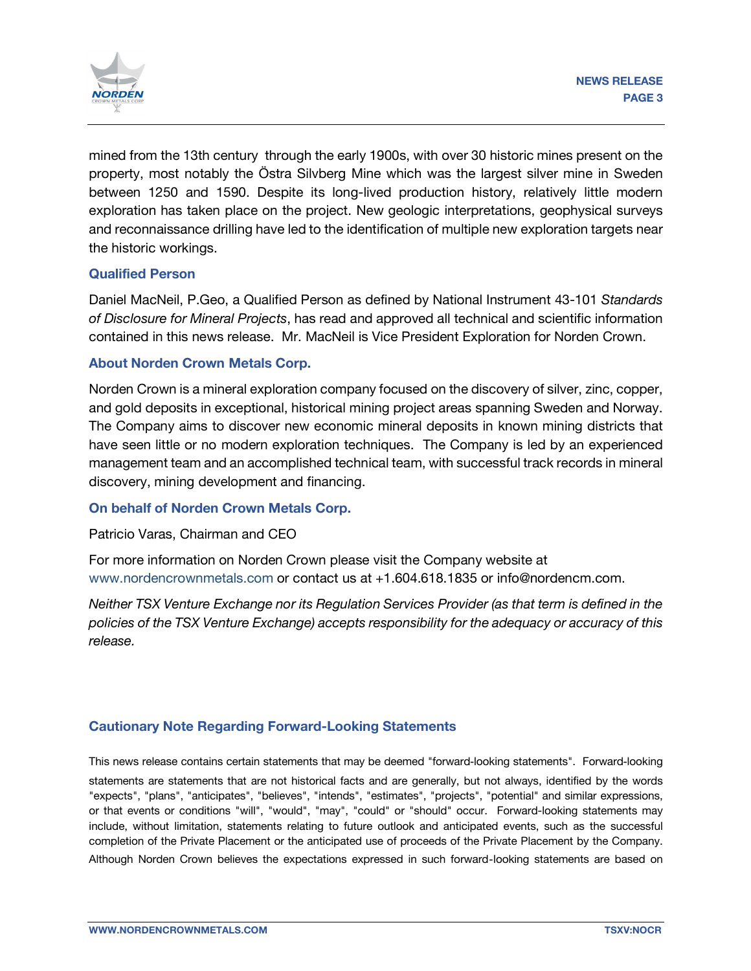

mined from the 13th century through the early 1900s, with over 30 historic mines present on the property, most notably the Östra Silvberg Mine which was the largest silver mine in Sweden between 1250 and 1590. Despite its long-lived production history, relatively little modern exploration has taken place on the project. New geologic interpretations, geophysical surveys and reconnaissance drilling have led to the identification of multiple new exploration targets near the historic workings.

### **Qualified Person**

Daniel MacNeil, P.Geo, a Qualified Person as defined by National Instrument 43-101 *Standards of Disclosure for Mineral Projects*, has read and approved all technical and scientific information contained in this news release. Mr. MacNeil is Vice President Exploration for Norden Crown.

### **About Norden Crown Metals Corp.**

Norden Crown is a mineral exploration company focused on the discovery of silver, zinc, copper, and gold deposits in exceptional, historical mining project areas spanning Sweden and Norway. The Company aims to discover new economic mineral deposits in known mining districts that have seen little or no modern exploration techniques. The Company is led by an experienced management team and an accomplished technical team, with successful track records in mineral discovery, mining development and financing.

#### **On behalf of Norden Crown Metals Corp.**

Patricio Varas, Chairman and CEO

For more information on Norden Crown please visit the Company website at www.nordencrownmetals.com or contact us at +1.604.618.1835 or info@nordencm.com.

*Neither TSX Venture Exchange nor its Regulation Services Provider (as that term is defined in the policies of the TSX Venture Exchange) accepts responsibility for the adequacy or accuracy of this release.* 

## **Cautionary Note Regarding Forward-Looking Statements**

This news release contains certain statements that may be deemed "forward‐looking statements". Forward‐looking statements are statements that are not historical facts and are generally, but not always, identified by the words "expects", "plans", "anticipates", "believes", "intends", "estimates", "projects", "potential" and similar expressions, or that events or conditions "will", "would", "may", "could" or "should" occur. Forward-looking statements may include, without limitation, statements relating to future outlook and anticipated events, such as the successful completion of the Private Placement or the anticipated use of proceeds of the Private Placement by the Company. Although Norden Crown believes the expectations expressed in such forward‐looking statements are based on